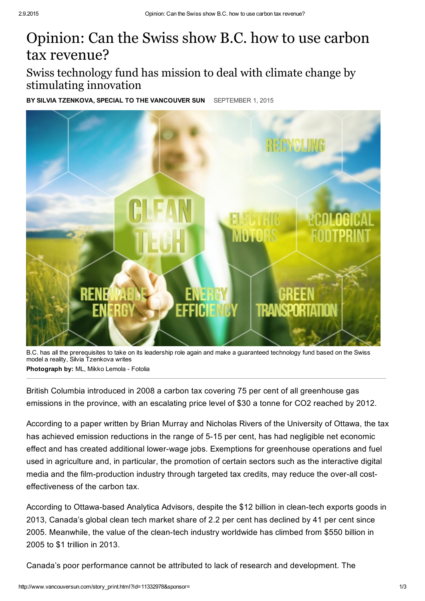## Opinion: Can the Swiss show B.C. how to use carbon tax revenue?

Swiss technology fund has mission to deal with climate change by stimulating innovation

BY SILVIA TZENKOVA, SPECIAL TO THE VANCOUVER SUN SEPTEMBER 1, 2015



B.C. has all the prerequisites to take on its leadership role again and make a guaranteed technology fund based on the Swiss model a reality, Silvia Tzenkova writes Photograph by: ML, Mikko Lemola - Fotolia

British Columbia introduced in 2008 a carbon tax covering 75 per cent of all greenhouse gas emissions in the province, with an escalating price level of \$30 a tonne for CO2 reached by 2012.

According to a paper written by Brian Murray and Nicholas Rivers of the University of Ottawa, the tax has achieved emission reductions in the range of 5-15 per cent, has had negligible net economic effect and has created additional lower-wage jobs. Exemptions for greenhouse operations and fuel used in agriculture and, in particular, the promotion of certain sectors such as the interactive digital media and the film-production industry through targeted tax credits, may reduce the over-all costeffectiveness of the carbon tax.

According to Ottawa-based Analytica Advisors, despite the \$12 billion in clean-tech exports goods in 2013, Canada's global clean tech market share of 2.2 per cent has declined by 41 per cent since 2005. Meanwhile, the value of the clean-tech industry worldwide has climbed from \$550 billion in 2005 to \$1 trillion in 2013.

Canada's poor performance cannot be attributed to lack of research and development. The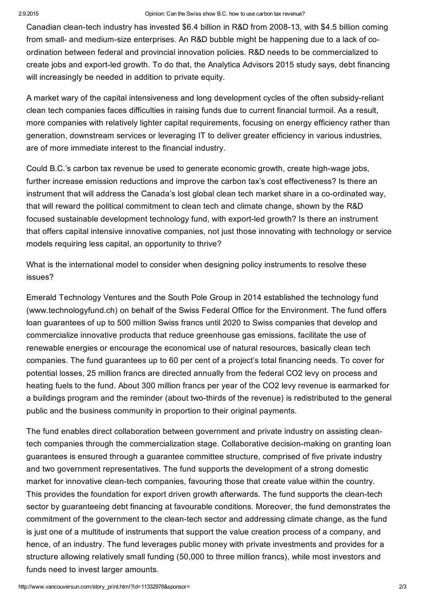Canadian clean-tech industry has invested \$6.4 billion in R&D from 2008-13, with \$4.5 billion coming from small- and medium-size enterprises. An R&D bubble might be happening due to a lack of coordination between federal and provincial innovation policies. R&D needs to be commercialized to create jobs and export-led growth. To do that, the Analytica Advisors 2015 study says, debt financing will increasingly be needed in addition to private equity.

A market wary of the capital intensiveness and long development cycles of the often subsidyreliant clean tech companies faces difficulties in raising funds due to current financial turmoil. As a result, more companies with relatively lighter capital requirements, focusing on energy efficiency rather than generation, downstream services or leveraging IT to deliver greater efficiency in various industries, are of more immediate interest to the financial industry.

Could B.C.'s carbon tax revenue be used to generate economic growth, create high-wage jobs, further increase emission reductions and improve the carbon tax's cost effectiveness? Is there an instrument that will address the Canada's lost global clean tech market share in a co-ordinated way, that will reward the political commitment to clean tech and climate change, shown by the R&D focused sustainable development technology fund, with export-led growth? Is there an instrument that offers capital intensive innovative companies, not just those innovating with technology or service models requiring less capital, an opportunity to thrive?

What is the international model to consider when designing policy instruments to resolve these issues?

Emerald Technology Ventures and the South Pole Group in 2014 established the technology fund (www.technologyfund.ch) on behalf of the Swiss Federal Office for the Environment. The fund offers loan guarantees of up to 500 million Swiss francs until 2020 to Swiss companies that develop and commercialize innovative products that reduce greenhouse gas emissions, facilitate the use of renewable energies or encourage the economical use of natural resources, basically clean tech companies. The fund guarantees up to 60 per cent of a project's total financing needs. To cover for potential losses, 25 million francs are directed annually from the federal CO2 levy on process and heating fuels to the fund. About 300 million francs per year of the CO2 levy revenue is earmarked for a buildings program and the reminder (about two-thirds of the revenue) is redistributed to the general public and the business community in proportion to their original payments.

The fund enables direct collaboration between government and private industry on assisting cleantech companies through the commercialization stage. Collaborative decision-making on granting loan guarantees is ensured through a guarantee committee structure, comprised of five private industry and two government representatives. The fund supports the development of a strong domestic market for innovative clean-tech companies, favouring those that create value within the country. This provides the foundation for export driven growth afterwards. The fund supports the clean-tech sector by guaranteeing debt financing at favourable conditions. Moreover, the fund demonstrates the commitment of the government to the clean-tech sector and addressing climate change, as the fund is just one of a multitude of instruments that support the value creation process of a company, and hence, of an industry. The fund leverages public money with private investments and provides for a structure allowing relatively small funding (50,000 to three million francs), while most investors and funds need to invest larger amounts.